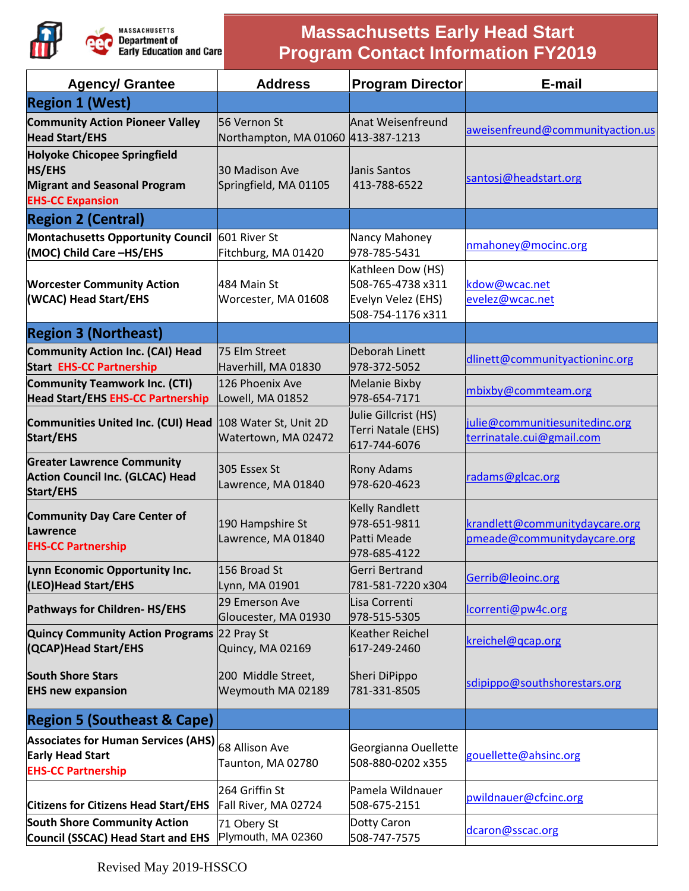

## **Massachusetts Early Head Start Program Contact Information FY2019**

| <b>Agency/ Grantee</b>                                                                                          | <b>Address</b>                                     | <b>Program Director</b>                                                           | E-mail                                                        |
|-----------------------------------------------------------------------------------------------------------------|----------------------------------------------------|-----------------------------------------------------------------------------------|---------------------------------------------------------------|
| <b>Region 1 (West)</b>                                                                                          |                                                    |                                                                                   |                                                               |
| <b>Community Action Pioneer Valley</b><br><b>Head Start/EHS</b>                                                 | 56 Vernon St<br>Northampton, MA 01060 413-387-1213 | Anat Weisenfreund                                                                 | aweisenfreund@communityaction.us                              |
| <b>Holyoke Chicopee Springfield</b><br>HS/EHS<br><b>Migrant and Seasonal Program</b><br><b>EHS-CC Expansion</b> | 30 Madison Ave<br>Springfield, MA 01105            | Janis Santos<br>413-788-6522                                                      | santosj@headstart.org                                         |
| <b>Region 2 (Central)</b>                                                                                       |                                                    |                                                                                   |                                                               |
| Montachusetts Opportunity Council 601 River St<br>(MOC) Child Care-HS/EHS                                       | Fitchburg, MA 01420                                | Nancy Mahoney<br>978-785-5431                                                     | nmahoney@mocinc.org                                           |
| <b>Worcester Community Action</b><br>(WCAC) Head Start/EHS                                                      | 484 Main St<br>Worcester, MA 01608                 | Kathleen Dow (HS)<br>508-765-4738 x311<br>Evelyn Velez (EHS)<br>508-754-1176 x311 | kdow@wcac.net<br>evelez@wcac.net                              |
| <b>Region 3 (Northeast)</b>                                                                                     |                                                    |                                                                                   |                                                               |
| <b>Community Action Inc. (CAI) Head</b><br><b>Start EHS-CC Partnership</b>                                      | 75 Elm Street<br>Haverhill, MA 01830               | Deborah Linett<br>978-372-5052                                                    | dlinett@communityactioninc.org                                |
| <b>Community Teamwork Inc. (CTI)</b><br><b>Head Start/EHS EHS-CC Partnership</b>                                | 126 Phoenix Ave<br>Lowell, MA 01852                | Melanie Bixby<br>978-654-7171                                                     | mbixby@commteam.org                                           |
| <b>Communities United Inc. (CUI) Head</b><br>Start/EHS                                                          | 108 Water St, Unit 2D<br>Watertown, MA 02472       | Julie Gillcrist (HS)<br>Terri Natale (EHS)<br>617-744-6076                        | julie@communitiesunitedinc.org<br>terrinatale.cui@gmail.com   |
| <b>Greater Lawrence Community</b><br><b>Action Council Inc. (GLCAC) Head</b><br><b>Start/EHS</b>                | 305 Essex St<br>Lawrence, MA 01840                 | Rony Adams<br>978-620-4623                                                        | radams@glcac.org                                              |
| <b>Community Day Care Center of</b><br>Lawrence<br><b>EHS-CC Partnership</b>                                    | 190 Hampshire St<br>Lawrence, MA 01840             | <b>Kelly Randlett</b><br>978-651-9811<br>Patti Meade<br>978-685-4122              | krandlett@communitydaycare.org<br>pmeade@communitydaycare.org |
| Lynn Economic Opportunity Inc.<br>(LEO)Head Start/EHS                                                           | 156 Broad St<br>Lynn, MA 01901                     | Gerri Bertrand<br>781-581-7220 x304                                               | Gerrib@leoinc.org                                             |
| Pathways for Children-HS/EHS                                                                                    | 29 Emerson Ave<br>Gloucester, MA 01930             | Lisa Correnti<br>978-515-5305                                                     | lcorrenti@pw4c.org                                            |
| Quincy Community Action Programs 22 Pray St<br>(QCAP) Head Start/EHS                                            | Quincy, MA 02169                                   | Keather Reichel<br>617-249-2460                                                   | kreichel@qcap.org                                             |
| <b>South Shore Stars</b><br><b>EHS new expansion</b>                                                            | 200 Middle Street,<br>Weymouth MA 02189            | Sheri DiPippo<br>781-331-8505                                                     | sdipippo@southshorestars.org                                  |
| <b>Region 5 (Southeast &amp; Cape)</b>                                                                          |                                                    |                                                                                   |                                                               |
| Associates for Human Services (AHS) 68 Allison Ave<br><b>Early Head Start</b><br><b>EHS-CC Partnership</b>      | Taunton, MA 02780                                  | Georgianna Ouellette<br>508-880-0202 x355                                         | gouellette@ahsinc.org                                         |
| <b>Citizens for Citizens Head Start/EHS</b>                                                                     | 264 Griffin St<br>Fall River, MA 02724             | Pamela Wildnauer<br>508-675-2151                                                  | pwildnauer@cfcinc.org                                         |
| <b>South Shore Community Action</b><br>Council (SSCAC) Head Start and EHS                                       | 71 Obery St<br>Plymouth, MA 02360                  | Dotty Caron<br>508-747-7575                                                       | dcaron@sscac.org                                              |